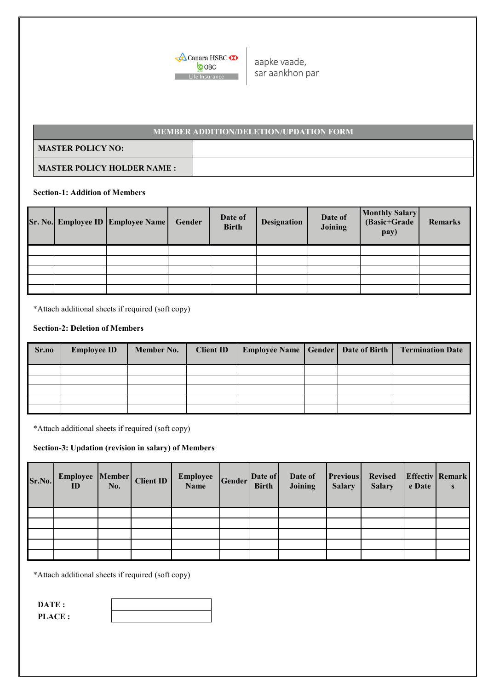

aapke vaade, sar aankhon par

# **MASTER POLICY NO: MASTER POLICY HOLDER NAME : MEMBER ADDITION/DELETION/UPDATION FORM**

## **Section-1: Addition of Members**

|  | <b>Sr. No. Employee ID Employee Name</b> | Gender | Date of<br><b>Birth</b> | <b>Designation</b> | Date of<br>Joining | Monthly Salary<br>(Basic+Grade<br>pay) | <b>Remarks</b> |
|--|------------------------------------------|--------|-------------------------|--------------------|--------------------|----------------------------------------|----------------|
|  |                                          |        |                         |                    |                    |                                        |                |
|  |                                          |        |                         |                    |                    |                                        |                |
|  |                                          |        |                         |                    |                    |                                        |                |
|  |                                          |        |                         |                    |                    |                                        |                |
|  |                                          |        |                         |                    |                    |                                        |                |

\*Attach additional sheets if required (soft copy)

## **Section-2: Deletion of Members**

| Sr.no | <b>Employee ID</b> | Member No. | <b>Client ID</b> | Employee Name   Gender   Date of Birth |  | <b>Termination Date</b> |
|-------|--------------------|------------|------------------|----------------------------------------|--|-------------------------|
|       |                    |            |                  |                                        |  |                         |
|       |                    |            |                  |                                        |  |                         |
|       |                    |            |                  |                                        |  |                         |
|       |                    |            |                  |                                        |  |                         |
|       |                    |            |                  |                                        |  |                         |

\*Attach additional sheets if required (soft copy)

### **Section-3: Updation (revision in salary) of Members**

| Sr.No. | Employee Member<br>ID | No. | <b>Client ID</b> | <b>Employee</b><br>Name | Gender | Date of<br><b>Birth</b> | Date of<br>Joining | <b>Previous</b><br><b>Salary</b> | <b>Revised</b><br><b>Salary</b> | e Date | <b>Effectiv</b> Remark<br>S |
|--------|-----------------------|-----|------------------|-------------------------|--------|-------------------------|--------------------|----------------------------------|---------------------------------|--------|-----------------------------|
|        |                       |     |                  |                         |        |                         |                    |                                  |                                 |        |                             |
|        |                       |     |                  |                         |        |                         |                    |                                  |                                 |        |                             |
|        |                       |     |                  |                         |        |                         |                    |                                  |                                 |        |                             |
|        |                       |     |                  |                         |        |                         |                    |                                  |                                 |        |                             |
|        |                       |     |                  |                         |        |                         |                    |                                  |                                 |        |                             |

\*Attach additional sheets if required (soft copy)

| DATE:         |  |
|---------------|--|
| <b>PLACE:</b> |  |